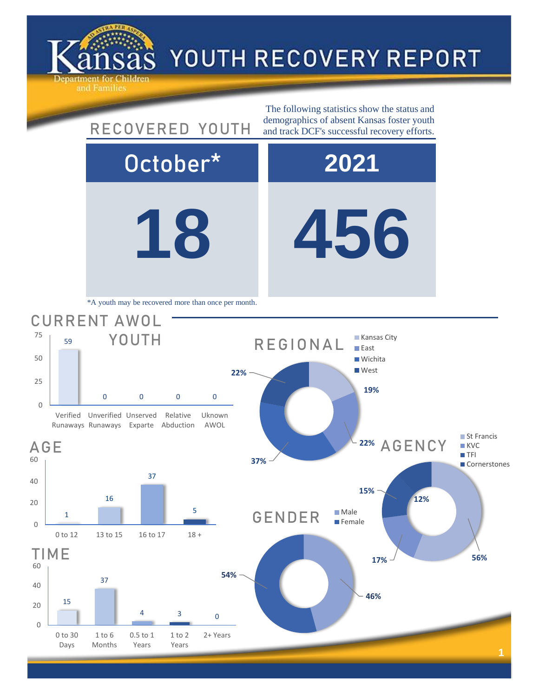

## YOUTH RECOVERY REPORT

**18 456** October\* **2021** 15 37 TIME **46% 54%** GENDER Male **Female 17% 56% 15% 12%** 22% AGENCY ■ St Francis **KVC TFI Cornerstones** 1 16 37 5 0 to 12 13 to 15 16 to 17 18 + AGE 59 0 0 0 0 Verified Unverified Unserved Runaways Runaways Exparte Abduction Relative Uknown AWOL CURRENT AWOL YOUTH The following statistics show the status and RECOVERED YOUTH demographics of absent Kansas foster youth and track DCF's successful recovery efforts. \*A youth may be recovered more than once per month. **19% 37% 22%** REGIONAL **Kansas City East Wichita West** 

 $4 \qquad \qquad 3 \qquad \qquad 0$ 

1 to 2 Years 2+ Years

0

0 to 30 Days

1 to 6 Months 0.5 to 1 Years

20

40

60

0

20

40

60

0

25

50

75